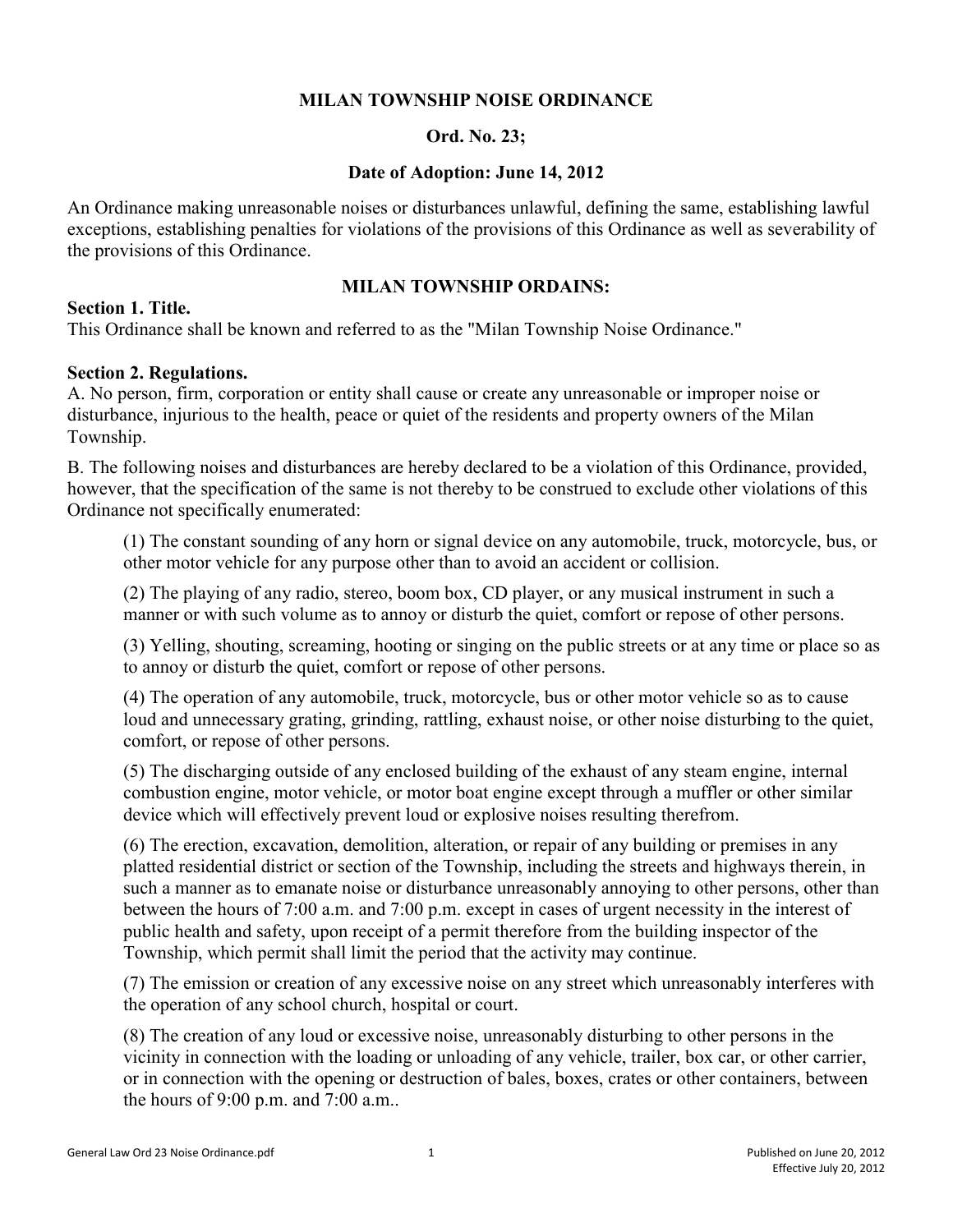#### **MILAN TOWNSHIP NOISE ORDINANCE**

#### **Ord. No. 23;**

#### **Date of Adoption: June 14, 2012**

An Ordinance making unreasonable noises or disturbances unlawful, defining the same, establishing lawful exceptions, establishing penalties for violations of the provisions of this Ordinance as well as severability of the provisions of this Ordinance.

### **MILAN TOWNSHIP ORDAINS:**

#### **Section 1. Title.**

This Ordinance shall be known and referred to as the "Milan Township Noise Ordinance."

### **Section 2. Regulations.**

A. No person, firm, corporation or entity shall cause or create any unreasonable or improper noise or disturbance, injurious to the health, peace or quiet of the residents and property owners of the Milan Township.

B. The following noises and disturbances are hereby declared to be a violation of this Ordinance, provided, however, that the specification of the same is not thereby to be construed to exclude other violations of this Ordinance not specifically enumerated:

(1) The constant sounding of any horn or signal device on any automobile, truck, motorcycle, bus, or other motor vehicle for any purpose other than to avoid an accident or collision.

(2) The playing of any radio, stereo, boom box, CD player, or any musical instrument in such a manner or with such volume as to annoy or disturb the quiet, comfort or repose of other persons.

(3) Yelling, shouting, screaming, hooting or singing on the public streets or at any time or place so as to annoy or disturb the quiet, comfort or repose of other persons.

(4) The operation of any automobile, truck, motorcycle, bus or other motor vehicle so as to cause loud and unnecessary grating, grinding, rattling, exhaust noise, or other noise disturbing to the quiet, comfort, or repose of other persons.

(5) The discharging outside of any enclosed building of the exhaust of any steam engine, internal combustion engine, motor vehicle, or motor boat engine except through a muffler or other similar device which will effectively prevent loud or explosive noises resulting therefrom.

(6) The erection, excavation, demolition, alteration, or repair of any building or premises in any platted residential district or section of the Township, including the streets and highways therein, in such a manner as to emanate noise or disturbance unreasonably annoying to other persons, other than between the hours of 7:00 a.m. and 7:00 p.m. except in cases of urgent necessity in the interest of public health and safety, upon receipt of a permit therefore from the building inspector of the Township, which permit shall limit the period that the activity may continue.

(7) The emission or creation of any excessive noise on any street which unreasonably interferes with the operation of any school church, hospital or court.

(8) The creation of any loud or excessive noise, unreasonably disturbing to other persons in the vicinity in connection with the loading or unloading of any vehicle, trailer, box car, or other carrier, or in connection with the opening or destruction of bales, boxes, crates or other containers, between the hours of 9:00 p.m. and 7:00 a.m..